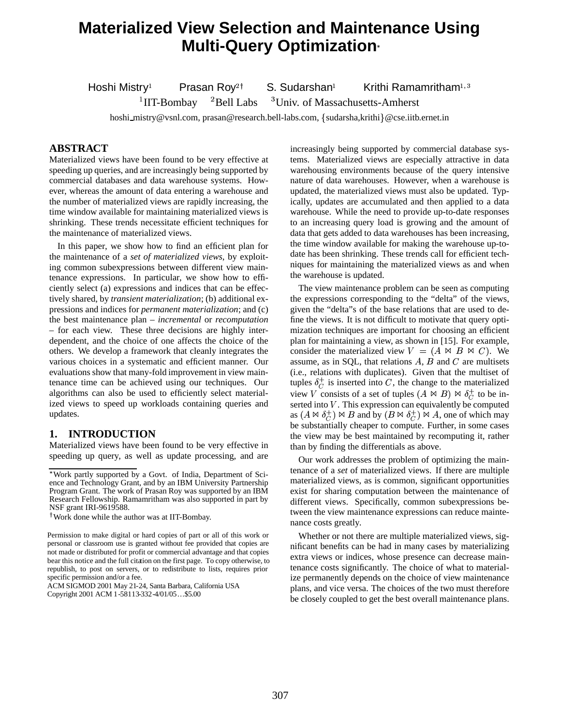# **Materialized View Selection and Maintenance Using Multi-Query Optimization**

Hoshi Mistry Prasan Roy<sup>2†</sup> S. Sudarshan Krithi Ramamritham<sup>1,3</sup>

> $1$ IIT-Bombay  $2$ Bell L <sup>2</sup>Bell Labs Univ. of Massachusetts-Amherst

hoshi\_mistry@vsnl.com, prasan@research.bell-labs.com, {sudarsha,krithi}@cse.iitb.ernet.in

# **ABSTRACT**

Materialized views have been found to be very effective at speeding up queries, and are increasingly being supported by commercial databases and data warehouse systems. However, whereas the amount of data entering a warehouse and the number of materialized views are rapidly increasing, the time window available for maintaining materialized views is shrinking. These trends necessitate efficient techniques for the maintenance of materialized views.

In this paper, we show how to find an efficient plan for the maintenance of a *set of materialized views*, by exploiting common subexpressions between different view maintenance expressions. In particular, we show how to efficiently select (a) expressions and indices that can be effectively shared, by *transient materialization*; (b) additional expressions and indices for *permanent materialization*; and (c) the best maintenance plan – *incremental* or *recomputation* – for each view. These three decisions are highly interdependent, and the choice of one affects the choice of the others. We develop a framework that cleanly integrates the various choices in a systematic and efficient manner. Our evaluations show that many-fold improvement in view maintenance time can be achieved using our techniques. Our algorithms can also be used to efficiently select materialized views to speed up workloads containing queries and updates.

## **1. INTRODUCTION**

Materialized views have been found to be very effective in speeding up query, as well as update processing, and are

ACM SIGMOD 2001 May 21-24, Santa Barbara, California USA Copyright 2001 ACM 1-58113-332-4/01/05…\$5.00

increasingly being supported by commercial database systems. Materialized views are especially attractive in data warehousing environments because of the query intensive nature of data warehouses. However, when a warehouse is updated, the materialized views must also be updated. Typically, updates are accumulated and then applied to a data warehouse. While the need to provide up-to-date responses to an increasing query load is growing and the amount of data that gets added to data warehouses has been increasing, the time window available for making the warehouse up-todate has been shrinking. These trends call for efficient techniques for maintaining the materialized views as and when the warehouse is updated.

The view maintenance problem can be seen as computing the expressions corresponding to the "delta" of the views, given the "delta"s of the base relations that are used to define the views. It is not difficult to motivate that query optimization techniques are important for choosing an efficient plan for maintaining a view, as shown in [15]. For example, consider the materialized view  $V = (A \bowtie B \bowtie C)$ . We assume, as in SQL, that relations  $A$ ,  $B$  and  $C$  are multisets (i.e., relations with duplicates). Given that the multiset of tuples  $\delta_C^+$  is inserted into C, the change to the materialized view V consists of a set of tuples  $(A \bowtie B) \bowtie \delta_C^+$  to be inserted into  $V$ . This expression can equivalently be computed as  $(A \bowtie \delta_C^+) \bowtie B$  and by  $(B \bowtie \delta_C^+) \bowtie A$ , one of which may be substantially cheaper to compute. Further, in some cases the view may be best maintained by recomputing it, rather than by finding the differentials as above.

Our work addresses the problem of optimizing the maintenance of a *set* of materialized views. If there are multiple materialized views, as is common, significant opportunities exist for sharing computation between the maintenance of different views. Specifically, common subexpressions between the view maintenance expressions can reduce maintenance costs greatly.

Whether or not there are multiple materialized views, significant benefits can be had in many cases by materializing extra views or indices, whose presence can decrease maintenance costs significantly. The choice of what to materialize permanently depends on the choice of view maintenance plans, and vice versa. The choices of the two must therefore be closely coupled to get the best overall maintenance plans.

 Work partly supported by a Govt. of India, Department of Science and Technology Grant, and by an IBM University Partnership Program Grant. The work of Prasan Roy was supported by an IBM Research Fellowship. Ramamritham was also supported in part by NSF grant IRI-9619588.

Work done while the author was at IIT-Bombay.

Permission to make digital or hard copies of part or all of this work or personal or classroom use is granted without fee provided that copies are not made or distributed for profit or commercial advantage and that copies bear this notice and the full citation on the first page. To copy otherwise, to republish, to post on servers, or to redistribute to lists, requires prior specific permission and/or a fee.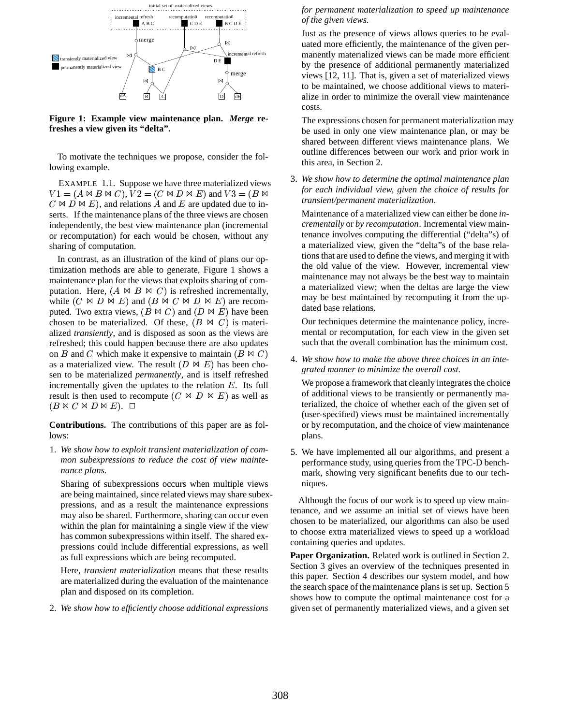

**Figure 1: Example view maintenance plan.** *Merge* **refreshes a view given its "delta".**

To motivate the techniques we propose, consider the following example.

EXAMPLE 1.1. Suppose we have three materialized views  $V1 = (A \bowtie B \bowtie C), V2 = (C \bowtie D \bowtie E)$  and  $V3 = (B \bowtie$  $C \bowtie D \bowtie E$ , and relations A and E are updated due to inserts. If the maintenance plans of the three views are chosen independently, the best view maintenance plan (incremental or recomputation) for each would be chosen, without any sharing of computation.

In contrast, as an illustration of the kind of plans our optimization methods are able to generate, Figure 1 shows a maintenance plan for the views that exploits sharing of computation. Here,  $(A \Join B \Join C)$  is refreshed incrementally, while  $(C \bowtie D \bowtie E)$  and  $(B \bowtie C \bowtie D \bowtie E)$  are recomputed. Two extra views,  $(B \bowtie C)$  and  $(D \bowtie E)$  have been chosen to be materialized. Of these,  $(B \bowtie C)$  is materialized *transiently*, and is disposed as soon as the views are refreshed; this could happen because there are also updates on B and C which make it expensive to maintain  $(B \bowtie C)$ as a materialized view. The result  $(D \bowtie E)$  has been chosen to be materialized *permanently*, and is itself refreshed incrementally given the updates to the relation  $E$ . Its full result is then used to recompute  $(C \bowtie D \bowtie E)$  as well as  $(B \bowtie C \bowtie D \bowtie E)$ .  $\Box$ 

**Contributions.** The contributions of this paper are as follows:

1. *We show how to exploit transient materialization of common subexpressions to reduce the cost of view maintenance plans.*

Sharing of subexpressions occurs when multiple views are being maintained, since related views may share subexpressions, and as a result the maintenance expressions may also be shared. Furthermore, sharing can occur even within the plan for maintaining a single view if the view has common subexpressions within itself. The shared expressions could include differential expressions, as well as full expressions which are being recomputed.

Here, *transient materialization* means that these results are materialized during the evaluation of the maintenance plan and disposed on its completion.

2. *We show how to efficiently choose additional expressions*

## *for permanent materialization to speed up maintenance of the given views.*

Just as the presence of views allows queries to be evaluated more efficiently, the maintenance of the given permanently materialized views can be made more efficient by the presence of additional permanently materialized views [12, 11]. That is, given a set of materialized views to be maintained, we choose additional views to materialize in order to minimize the overall view maintenance costs.

The expressions chosen for permanent materialization may be used in only one view maintenance plan, or may be shared between different views maintenance plans. We outline differences between our work and prior work in this area, in Section 2.

3. *We show how to determine the optimal maintenance plan for each individual view, given the choice of results for transient/permanent materialization*.

Maintenance of a materialized view can either be done *incrementally* or *by recomputation*. Incremental view maintenance involves computing the differential ("delta"s) of a materialized view, given the "delta"s of the base relations that are used to define the views, and merging it with the old value of the view. However, incremental view maintenance may not always be the best way to maintain a materialized view; when the deltas are large the view may be best maintained by recomputing it from the updated base relations.

Our techniques determine the maintenance policy, incremental or recomputation, for each view in the given set such that the overall combination has the minimum cost.

4. *We show how to make the above three choices in an integrated manner to minimize the overall cost.*

We propose a framework that cleanly integrates the choice of additional views to be transiently or permanently materialized, the choice of whether each of the given set of (user-specified) views must be maintained incrementally or by recomputation, and the choice of view maintenance plans.

5. We have implemented all our algorithms, and present a performance study, using queries from the TPC-D benchmark, showing very significant benefits due to our techniques.

Although the focus of our work is to speed up view maintenance, and we assume an initial set of views have been chosen to be materialized, our algorithms can also be used to choose extra materialized views to speed up a workload containing queries and updates.

**Paper Organization.** Related work is outlined in Section 2. Section 3 gives an overview of the techniques presented in this paper. Section 4 describes our system model, and how the search space of the maintenance plans is set up. Section 5 shows how to compute the optimal maintenance cost for a given set of permanently materialized views, and a given set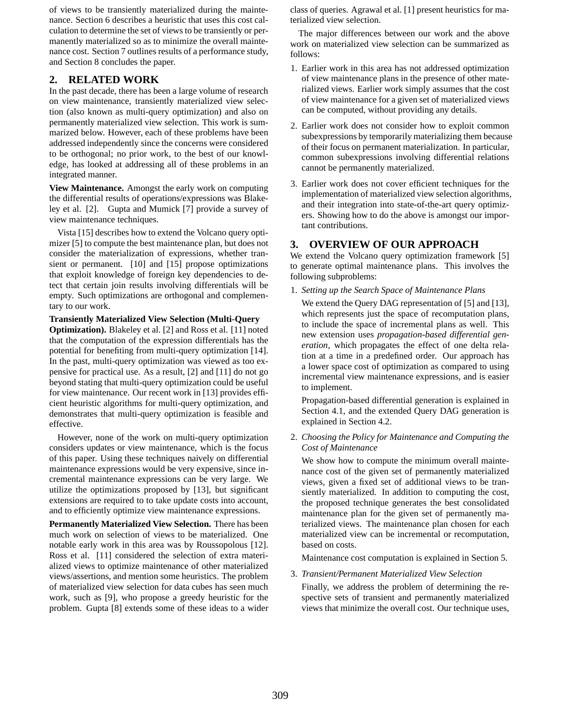of views to be transiently materialized during the maintenance. Section 6 describes a heuristic that uses this cost calculation to determine the set of views to be transiently or permanently materialized so as to minimize the overall maintenance cost. Section 7 outlines results of a performance study, and Section 8 concludes the paper.

# **2. RELATED WORK**

In the past decade, there has been a large volume of research on view maintenance, transiently materialized view selection (also known as multi-query optimization) and also on permanently materialized view selection. This work is summarized below. However, each of these problems have been addressed independently since the concerns were considered to be orthogonal; no prior work, to the best of our knowledge, has looked at addressing all of these problems in an integrated manner.

**View Maintenance.** Amongst the early work on computing the differential results of operations/expressions was Blakeley et al. [2]. Gupta and Mumick [7] provide a survey of view maintenance techniques.

Vista [15] describes how to extend the Volcano query optimizer [5] to compute the best maintenance plan, but does not consider the materialization of expressions, whether transient or permanent. [10] and [15] propose optimizations that exploit knowledge of foreign key dependencies to detect that certain join results involving differentials will be empty. Such optimizations are orthogonal and complementary to our work.

**Transiently Materialized View Selection (Multi-Query**

**Optimization).** Blakeley et al. [2] and Ross et al. [11] noted that the computation of the expression differentials has the potential for benefiting from multi-query optimization [14]. In the past, multi-query optimization was viewed as too expensive for practical use. As a result, [2] and [11] do not go beyond stating that multi-query optimization could be useful for view maintenance. Our recent work in [13] provides efficient heuristic algorithms for multi-query optimization, and demonstrates that multi-query optimization is feasible and effective.

However, none of the work on multi-query optimization considers updates or view maintenance, which is the focus of this paper. Using these techniques naively on differential maintenance expressions would be very expensive, since incremental maintenance expressions can be very large. We utilize the optimizations proposed by [13], but significant extensions are required to to take update costs into account, and to efficiently optimize view maintenance expressions.

**Permanently Materialized View Selection.** There has been much work on selection of views to be materialized. One notable early work in this area was by Roussopolous [12]. Ross et al. [11] considered the selection of extra materialized views to optimize maintenance of other materialized views/assertions, and mention some heuristics. The problem of materialized view selection for data cubes has seen much work, such as [9], who propose a greedy heuristic for the problem. Gupta [8] extends some of these ideas to a wider class of queries. Agrawal et al. [1] present heuristics for materialized view selection.

The major differences between our work and the above work on materialized view selection can be summarized as follows:

- 1. Earlier work in this area has not addressed optimization of view maintenance plans in the presence of other materialized views. Earlier work simply assumes that the cost of view maintenance for a given set of materialized views can be computed, without providing any details.
- 2. Earlier work does not consider how to exploit common subexpressions by temporarily materializing them because of their focus on permanent materialization. In particular, common subexpressions involving differential relations cannot be permanently materialized.
- 3. Earlier work does not cover efficient techniques for the implementation of materialized view selection algorithms, and their integration into state-of-the-art query optimizers. Showing how to do the above is amongst our important contributions.

# **3. OVERVIEW OF OUR APPROACH**

We extend the Volcano query optimization framework [5] to generate optimal maintenance plans. This involves the following subproblems:

1. *Setting up the Search Space of Maintenance Plans*

We extend the Query DAG representation of [5] and [13], which represents just the space of recomputation plans, to include the space of incremental plans as well. This new extension uses *propagation-based differential generation*, which propagates the effect of one delta relation at a time in a predefined order. Our approach has a lower space cost of optimization as compared to using incremental view maintenance expressions, and is easier to implement.

Propagation-based differential generation is explained in Section 4.1, and the extended Query DAG generation is explained in Section 4.2.

2. *Choosing the Policy for Maintenance and Computing the Cost of Maintenance*

We show how to compute the minimum overall maintenance cost of the given set of permanently materialized views, given a fixed set of additional views to be transiently materialized. In addition to computing the cost, the proposed technique generates the best consolidated maintenance plan for the given set of permanently materialized views. The maintenance plan chosen for each materialized view can be incremental or recomputation, based on costs.

Maintenance cost computation is explained in Section 5.

3. *Transient/Permanent Materialized View Selection*

Finally, we address the problem of determining the respective sets of transient and permanently materialized views that minimize the overall cost. Our technique uses,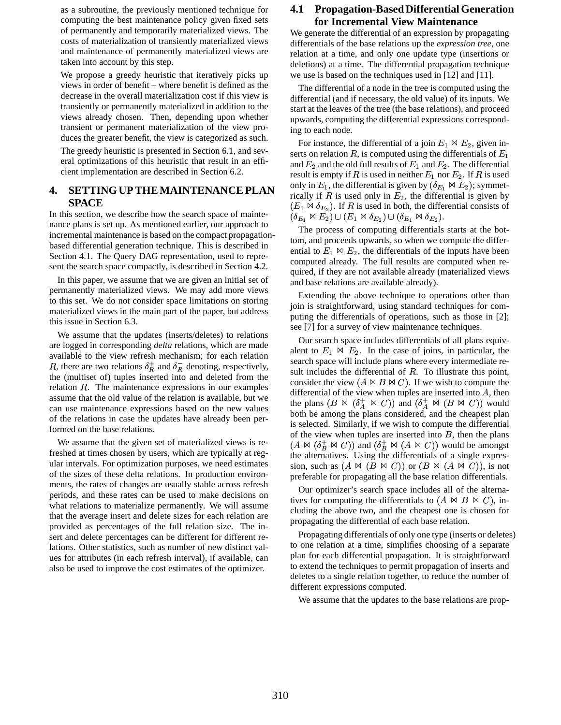as a subroutine, the previously mentioned technique for computing the best maintenance policy given fixed sets of permanently and temporarily materialized views. The costs of materialization of transiently materialized views and maintenance of permanently materialized views are taken into account by this step.

We propose a greedy heuristic that iteratively picks up views in order of benefit – where benefit is defined as the decrease in the overall materialization cost if this view is transiently or permanently materialized in addition to the views already chosen. Then, depending upon whether transient or permanent materialization of the view produces the greater benefit, the view is categorized as such.

The greedy heuristic is presented in Section 6.1, and several optimizations of this heuristic that result in an efficient implementation are described in Section 6.2.

## **4. SETTINGUPTHEMAINTENANCEPLAN SPACE**

In this section, we describe how the search space of maintenance plans is set up. As mentioned earlier, our approach to incremental maintenance is based on the compact propagationbased differential generation technique. This is described in Section 4.1. The Query DAG representation, used to represent the search space compactly, is described in Section 4.2.

In this paper, we assume that we are given an initial set of permanently materialized views. We may add more views to this set. We do not consider space limitations on storing materialized views in the main part of the paper, but address this issue in Section 6.3.

We assume that the updates (inserts/deletes) to relations are logged in corresponding *delta* relations, which are made available to the view refresh mechanism; for each relation R, there are two relations  $\delta_R^+$  and  $\delta_R^-$  denoting, respectively, the (multiset of) tuples inserted into and deleted from the relation  $R$ . The maintenance expressions in our examples assume that the old value of the relation is available, but we can use maintenance expressions based on the new values of the relations in case the updates have already been performed on the base relations.

We assume that the given set of materialized views is refreshed at times chosen by users, which are typically at regular intervals. For optimization purposes, we need estimates of the sizes of these delta relations. In production environments, the rates of changes are usually stable across refresh periods, and these rates can be used to make decisions on what relations to materialize permanently. We will assume that the average insert and delete sizes for each relation are provided as percentages of the full relation size. The insert and delete percentages can be different for different relations. Other statistics, such as number of new distinct values for attributes (in each refresh interval), if available, can also be used to improve the cost estimates of the optimizer.

# **4.1 Propagation-Based DifferentialGeneration for Incremental View Maintenance**

We generate the differential of an expression by propagating differentials of the base relations up the *expression tree*, one relation at a time, and only one update type (insertions or deletions) at a time. The differential propagation technique we use is based on the techniques used in [12] and [11].

The differential of a node in the tree is computed using the differential (and if necessary, the old value) of its inputs. We start at the leaves of the tree (the base relations), and proceed upwards, computing the differential expressions corresponding to each node.

For instance, the differential of a join  $E_1 \bowtie E_2$ , given inserts on relation R, is computed using the differentials of  $E_1$ and  $E_2$  and the old full results of  $E_1$  and  $E_2$ . The differential result is empty if  $R$  is used in neither  $E_1$  nor  $E_2$ . If  $R$  is used only in  $E_1$ , the differential is given by  $(\delta_{E_1} \bowtie E_2)$ ; symmetrically if R is used only in  $E_2$ , the differential is given by  $(E_1 \bowtie \delta_{E_2})$ . If R is used in both, the differential consists of  $(\delta_{E_1} \boxtimes E_2) \cup (E_1 \boxtimes \delta_{E_2}) \cup (\delta_{E_1} \boxtimes \delta_{E_2}).$ 

The process of computing differentials starts at the bottom, and proceeds upwards, so when we compute the differential to  $E_1 \bowtie E_2$ , the differentials of the inputs have been computed already. The full results are computed when required, if they are not available already (materialized views and base relations are available already).

Extending the above technique to operations other than join is straightforward, using standard techniques for computing the differentials of operations, such as those in [2]; see [7] for a survey of view maintenance techniques.

Our search space includes differentials of all plans equivalent to  $E_1 \Join E_2$ . In the case of joins, in particular, the search space will include plans where every intermediate result includes the differential of  $R$ . To illustrate this point, consider the view  $(A \bowtie B \bowtie C)$ . If we wish to compute the differential of the view when tuples are inserted into  $A$ , then the plans  $(B \bowtie (\delta_A^+ \bowtie C))$  and  $(\delta_A^+ \bowtie (B \bowtie C))$  would both be among the plans considered, and the cheapest plan is selected. Similarly, if we wish to compute the differential of the view when tuples are inserted into  $B$ , then the plans  $(A \bowtie (\delta_R^+ \bowtie C))$  and  $(\delta_R^+ \bowtie (A \bowtie C))$  would be amongst the alternatives. Using the differentials of a single expression, such as  $(A \bowtie (B \bowtie C))$  or  $(B \bowtie (A \bowtie C))$ , is not preferable for propagating all the base relation differentials.

Our optimizer's search space includes all of the alternatives for computing the differentials to  $(A \bowtie B \bowtie C)$ , including the above two, and the cheapest one is chosen for propagating the differential of each base relation.

Propagating differentials of only one type (inserts or deletes) to one relation at a time, simplifies choosing of a separate plan for each differential propagation. It is straightforward to extend the techniques to permit propagation of inserts and deletes to a single relation together, to reduce the number of different expressions computed.

We assume that the updates to the base relations are prop-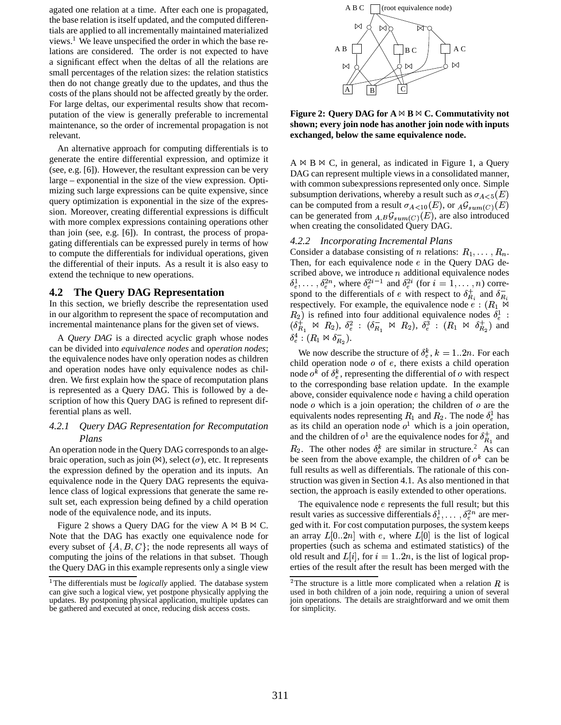agated one relation at a time. After each one is propagated, the base relation is itself updated, and the computed differentials are applied to all incrementally maintained materialized views.<sup>1</sup> We leave unspecified the order in which the base relations are considered. The order is not expected to have a significant effect when the deltas of all the relations are small percentages of the relation sizes: the relation statistics then do not change greatly due to the updates, and thus the costs of the plans should not be affected greatly by the order. For large deltas, our experimental results show that recomputation of the view is generally preferable to incremental maintenance, so the order of incremental propagation is not relevant.

An alternative approach for computing differentials is to generate the entire differential expression, and optimize it (see, e.g. [6]). However, the resultant expression can be very large – exponential in the size of the view expression. Optimizing such large expressions can be quite expensive, since query optimization is exponential in the size of the expression. Moreover, creating differential expressions is difficult with more complex expressions containing operations other than join (see, e.g. [6]). In contrast, the process of propagating differentials can be expressed purely in terms of how to compute the differentials for individual operations, given the differential of their inputs. As a result it is also easy to extend the technique to new operations.

#### **4.2 The Query DAG Representation**

In this section, we briefly describe the representation used in our algorithm to represent the space of recomputation and incremental maintenance plans for the given set of views.

A *Query DAG* is a directed acyclic graph whose nodes can be divided into *equivalence nodes* and *operation nodes*; the equivalence nodes have only operation nodes as children and operation nodes have only equivalence nodes as children. We first explain how the space of recomputation plans is represented as a Query DAG. This is followed by a description of how this Query DAG is refined to represent differential plans as well.

## *4.2.1 Query DAG Representation for Recomputation Plans*

An operation node in the Query DAG corresponds to an algebraic operation, such as join  $(\mathbb{M})$ , select  $(\sigma)$ , etc. It represents the expression defined by the operation and its inputs. An equivalence node in the Query DAG represents the equivalence class of logical expressions that generate the same result set, each expression being defined by a child operation node of the equivalence node, and its inputs.

Figure 2 shows a Query DAG for the view  $A \bowtie B \bowtie C$ . Note that the DAG has exactly one equivalence node for every subset of  $\{A, B, C\}$ ; the node represents all ways of computing the joins of the relations in that subset. Though the Query DAG in this example represents only a single view



**Figure 2:** Query DAG for  $A \bowtie B \bowtie C$ . Commutativity not **shown; every join node has another join node with inputs exchanged, below the same equivalence node.**

 $A \bowtie B \bowtie C$ , in general, as indicated in Figure 1, a Query DAG can represent multiple views in a consolidated manner, with common subexpressions represented only once. Simple subsumption derivations, whereby a result such as  $\sigma_{A<5}(E)$ can be computed from a result  $\sigma_{A<10}(E)$ , or  $_A\mathcal{G}_{sum(C)}(E)$ can be generated from  $_{A,B}\mathcal{G}_{sum(C)}(E)$ , are also introduced when creating the consolidated Query DAG.

#### *4.2.2 Incorporating Incremental Plans*

Consider a database consisting of *n* relations:  $R_1, \ldots, R_n$ . Then, for each equivalence node  $e$  in the Query DAG described above, we introduce  $n$  additional equivalence nodes  $\delta^1_{\sigma}, \ldots, \delta^{2n}_{\sigma}$ , where  $\epsilon_n^{2n}$ , where  $\delta_e^{2i-1}$  and **Property** and the contract of the contract of the contract of the contract of the contract of the contract of the contract of the contract of the contract of the contract of the contract of the contract of the contract of  $\delta_e^{2i-1}$  and  $\delta_e^{2i}$  (for  $i=1,\ldots,n$ ) correspond to the differentials of e with respect to  $\delta_{R_1}^+$  and  $\delta_{R_2}^$ respectively. For example, the equivalence node  $e:(R_1 \bowtie$  $R_2$ ) is refined into four additional equivalence nodes  $\delta^1$ .  $(\delta_{B_1}^+ \Join R_2), \ \delta_e^2 \; : \; (\delta_{B_1}^- \Join R_2), \ \delta_e^3 \; : \; (R_1 \Join \delta_{B_2}^+) \text{ and }$  $\delta_e^4$  :  $(R_1 \boxtimes \delta_{R_2}^-)$ .

We now describe the structure of  $\delta_{\epsilon}^{k}$ ,  $k=1..2n$ . For each child operation node  $o$  of  $e$ , there exists a child operation node  $o^k$  of  $\delta^k$ , representing the differential of  $o$  with respect to the corresponding base relation update. In the example above, consider equivalence node  $e$  having a child operation node  $\sigma$  which is a join operation; the children of  $\sigma$  are the equivalents nodes representing  $R_1$  and  $R_2$ . The node  $\delta_e^1$  has as its child an operation node  $o<sup>1</sup>$  which is a join operation, and the children of  $o^1$  are the equivalence nodes for  $\delta_{R_1}^+$  and  $R_2$ . The other nodes  $\delta_e^k$  are similar in structure.<sup>2</sup> As can be seen from the above example, the children of  $o<sup>k</sup>$  can be full results as well as differentials. The rationale of this construction was given in Section 4.1. As also mentioned in that section, the approach is easily extended to other operations.

The equivalence node  $e$  represents the full result; but this result varies as successive differentials  $\delta_e^1, \ldots, \delta_e^{2n}$  are me  $_{e}^{2n}$  are merged with it. For cost computation purposes, the system keeps an array  $L[0..2n]$  with e, where  $L[0]$  is the list of logical properties (such as schema and estimated statistics) of the old result and  $L[i]$ , for  $i=1..2n$ , is the list of logical properties of the result after the result has been merged with the

<sup>&</sup>lt;sup>1</sup>The differentials must be *logically* applied. The database system can give such a logical view, yet postpone physically applying the updates. By postponing physical application, multiple updates can be gathered and executed at once, reducing disk access costs.

<sup>&</sup>lt;sup>2</sup>The structure is a little more complicated when a relation R is used in both children of a join node, requiring a union of several join operations. The details are straightforward and we omit them for simplicity.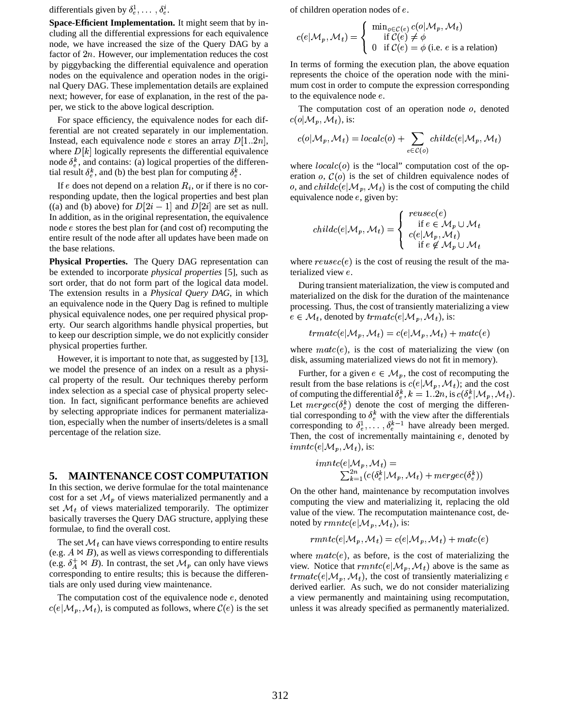differentials given by  $\delta_e^1, \ldots, \delta_e^i$ .

**Space-Efficient Implementation.** It might seem that by including all the differential expressions for each equivalence node, we have increased the size of the Query DAG by a factor of  $2n$ . However, our implementation reduces the cost by piggybacking the differential equivalence and operation nodes on the equivalence and operation nodes in the original Query DAG. These implementation details are explained next; however, for ease of explanation, in the rest of the paper, we stick to the above logical description.

For space efficiency, the equivalence nodes for each differential are not created separately in our implementation. Instead, each equivalence node  $e$  stores an array  $D[1..2n]$ , where  $D[k]$  logically represents the differential equivalence node  $\delta_e^k$ , and contains: (a) logical properties of the differential result  $\delta_e^k$ , and (b) the best plan for computing  $\delta_e^k$ .

If e does not depend on a relation  $R_i$ , or if there is no corresponding update, then the logical properties and best plan ((a) and (b) above) for  $D[2i - 1]$  and  $D[2i]$  are set as null. In addition, as in the original representation, the equivalence node  $e$  stores the best plan for (and cost of) recomputing the entire result of the node after all updates have been made on the base relations.

**Physical Properties.** The Query DAG representation can be extended to incorporate *physical properties* [5], such as sort order, that do not form part of the logical data model. The extension results in a *Physical Query DAG*, in which an equivalence node in the Query Dag is refined to multiple physical equivalence nodes, one per required physical property. Our search algorithms handle physical properties, but to keep our description simple, we do not explicitly consider physical properties further.

However, it is important to note that, as suggested by [13], we model the presence of an index on a result as a physical property of the result. Our techniques thereby perform index selection as a special case of physical property selection. In fact, significant performance benefits are achieved by selecting appropriate indices for permanent materialization, especially when the number of inserts/deletes is a small percentage of the relation size.

#### **5. MAINTENANCE COST COMPUTATION**

In this section, we derive formulae for the total maintenance cost for a set  $\mathcal{M}_p$  of views materialized permanently and a set  $\mathcal{M}_t$  of views materialized temporarily. The optimizer basically traverses the Query DAG structure, applying these formulae, to find the overall cost.

The set  $\mathcal{M}_t$  can have views corresponding to entire results (e.g.  $A \Join B$ ), as well as views corresponding to differentials (e.g.  $\delta_A^+ \bowtie B$ ). In contrast, the set  $\mathcal{M}_p$  can only have views corresponding to entire results; this is because the differentials are only used during view maintenance.

The computation cost of the equivalence node  $e$ , denoted  $c(e | \mathcal{M}_p, \mathcal{M}_t)$ , is computed as follows, where  $\mathcal{C}(e)$  is the set

of children operation nodes of e.

$$
c(e|\mathcal{M}_p, \mathcal{M}_t) = \begin{cases} \min_{o \in \mathcal{C}(e)} c(o|\mathcal{M}_p, \mathcal{M}_t) \\ \text{if } \mathcal{C}(e) \neq \phi \\ 0 \text{ if } \mathcal{C}(e) = \phi \text{ (i.e. } e \text{ is a relation)} \end{cases}
$$

In terms of forming the execution plan, the above equation represents the choice of the operation node with the minimum cost in order to compute the expression corresponding to the equivalence node  $e$ .

The computation cost of an operation node  $o$ , denoted  $c(o|\mathcal{M}_p, \mathcal{M}_t)$ , is:

$$
c(o|\mathcal{M}_p, \mathcal{M}_t) = locale(o) + \sum_{e \in C(o)}childc(e|\mathcal{M}_p, \mathcal{M}_t)
$$

where  $localc(o)$  is the "local" computation cost of the operation o,  $\mathcal{C}(o)$  is the set of children equivalence nodes of *o*, and  $childc(e|M_p, M_t)$  is the cost of computing the child equivalence node  $e$ , given by:

$$
childc(e|\mathcal{M}_p, \mathcal{M}_t) = \left\{ \begin{array}{l} reusec(e) \\ \text{if } e \in \mathcal{M}_p \cup \mathcal{M}_t \\ c(e|\mathcal{M}_p, \mathcal{M}_t) \\ \text{if } e \notin \mathcal{M}_p \cup \mathcal{M}_t \end{array} \right.
$$

where  $reusec(e)$  is the cost of reusing the result of the materialized view e.

During transient materialization, the view is computed and materialized on the disk for the duration of the maintenance processing. Thus, the cost of transiently materializing a view  $e \in \mathcal{M}_t$ , denoted by  $trmate(e|\mathcal{M}_p, \mathcal{M}_t)$ , is:

$$
trmate(e|\mathcal{M}_p, \mathcal{M}_t) = c(e|\mathcal{M}_p, \mathcal{M}_t) + mate(e)
$$

where  $\text{mate}(e)$ , is the cost of materializing the view (on disk, assuming materialized views do not fit in memory).

Further, for a given  $e \in \mathcal{M}_p$ , the cost of recomputing the result from the base relations is  $c(e|\mathcal{M}_p, \mathcal{M}_t)$ ; and the cost of computing the differential  $\delta_e^k$ ,  $k = 1..2n$ , is  $c(\delta_e^k | \mathcal{M}_p, \mathcal{M}_t)$ . Let  $merge(\delta_e^k)$  denote the cost of merging the differential corresponding to  $\delta_e^k$  with the view after the differentials corresponding to  $\delta_e^1, \ldots, \delta_e^{k-1}$  have alr  $k^{-1}$  have already been merged. Then, the cost of incrementally maintaining  $e$ , denoted by  $imntc(e|M_p, \mathcal{M}_t)$ , is:

$$
imntc(e|\mathcal{M}_p, \mathcal{M}_t) = \newline \sum_{k=1}^{2n} (c(\delta_e^k|\mathcal{M}_p, \mathcal{M}_t) + mergec(\delta_e^k))
$$

On the other hand, maintenance by recomputation involves computing the view and materializing it, replacing the old value of the view. The recomputation maintenance cost, denoted by  $rmtc(e|M_p, \mathcal{M}_t)$ , is:

$$
rmntc(e|M_p, \mathcal{M}_t) = c(e|\mathcal{M}_p, \mathcal{M}_t) + mate(e)
$$

where  $\text{mate}(e)$ , as before, is the cost of materializing the view. Notice that  $rmntc(e|M_p, M_t)$  above is the same as<br> $t r m ct c(e|M_{\perp} | M_t)$  the cost of transiently materializing c  $trmate(e|M_p, M_t)$ , the cost of transiently materializing e<br>derived extient As such we do not consider materializing derived earlier. As such, we do not consider materializing a view permanently and maintaining using recomputation, unless it was already specified as permanently materialized.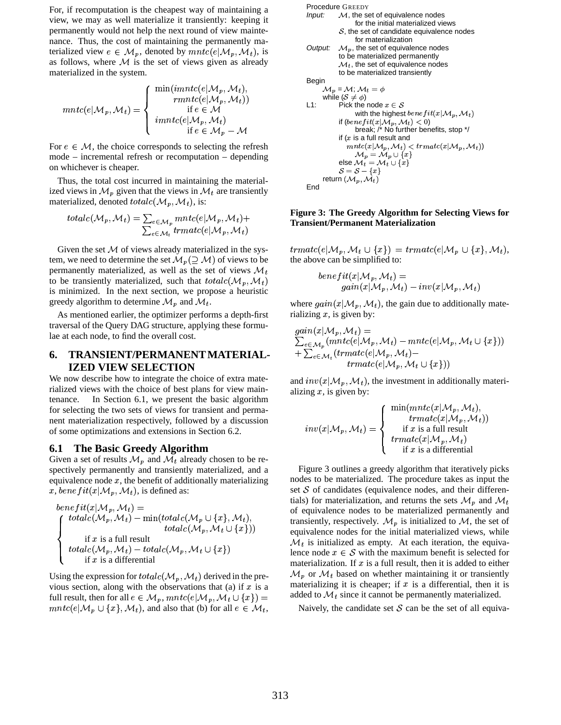For, if recomputation is the cheapest way of maintaining a view, we may as well materialize it transiently: keeping it permanently would not help the next round of view maintenance. Thus, the cost of maintaining the permanently materialized view  $e \in \mathcal{M}_p$ , denoted by  $mntc(e|\mathcal{M}_p, \mathcal{M}_t)$ , is as follows, where  $M$  is the set of views given as already materialized in the system.

$$
mntc(e|\mathcal{M}_p, \mathcal{M}_t) = \left\{ \begin{array}{ll} \min(imntc(e|\mathcal{M}_p, \mathcal{M}_t), & \mathcal{M}_p \\ rmtc(e|\mathcal{M}_p, \mathcal{M}_t)) & \text{if } e \in \mathcal{M} \\ \text{imntc}(e|\mathcal{M}_p, \mathcal{M}_t) & \text{if } e \in \mathcal{M}_p - \mathcal{M} \end{array} \right.
$$

For  $e \in M$ , the choice corresponds to selecting the refresh mode – incremental refresh or recomputation – depending on whichever is cheaper.

Thus, the total cost incurred in maintaining the materialized views in  $\mathcal{M}_p$  given that the views in  $\mathcal{M}_t$  are transiently materialized, denoted  $totalc(\mathcal{M}_p, \mathcal{M}_t)$ , is:

$$
totalc(\mathcal{M}_p, \mathcal{M}_t) = \sum_{e \in \mathcal{M}_p} mntc(e|\mathcal{M}_p, \mathcal{M}_t) + \sum_{e \in \mathcal{M}_t} trmate(e|\mathcal{M}_p, \mathcal{M}_t)
$$

Given the set  $M$  of views already materialized in the system, we need to determine the set  $\mathcal{M}_p(\supseteq \mathcal{M})$  of views to be permanently materialized, as well as the set of views  $\mathcal{M}_t$ to be transiently materialized, such that  $totalc(\mathcal{M}_p, \mathcal{M}_t)$ is minimized. In the next section, we propose a heuristic greedy algorithm to determine  $\mathcal{M}_p$  and  $\mathcal{M}_t$ .

As mentioned earlier, the optimizer performs a depth-first traversal of the Query DAG structure, applying these formulae at each node, to find the overall cost.

# **6. TRANSIENT/PERMANENTMATERIAL-IZED VIEW SELECTION**

We now describe how to integrate the choice of extra materialized views with the choice of best plans for view maintenance. In Section 6.1, we present the basic algorithm for selecting the two sets of views for transient and permanent materialization respectively, followed by a discussion of some optimizations and extensions in Section 6.2.

#### **6.1 The Basic Greedy Algorithm**

Given a set of results  $\mathcal{M}_p$  and  $\mathcal{M}_t$  already chosen to be respectively permanently and transiently materialized, and a equivalence node  $x$ , the benefit of additionally materializing x, benefit(x| $\mathcal{M}_p$ ,  $\mathcal{M}_t$ ), is defined as:

$$
benefit(x|M_p, M_t) =
$$
\n
$$
\begin{cases}\ntotalc(M_p, M_t) - \min(totalc(M_p \cup \{x\}, M_t), \\
totalc(M_p, M_t \cup \{x\})) \\
\text{if } x \text{ is a full result} \\
totalc(M_p, M_t) - totalc(M_p, M_t \cup \{x\}) \\
\text{if } x \text{ is a differential}\n\end{cases}
$$

Using the expression for  $totalc(\mathcal{M}_p, \mathcal{M}_t)$  derived in the previous section, along with the observations that (a) if  $x$  is a full result, then for all  $e \in \mathcal{M}_p, mntc(e|\mathcal{M}_p, \mathcal{M}_t \cup \{x\}) =$  added to  $\mathit{ntc}(e|\mathcal{M}_p \cup \{x\}, \mathcal{M}_t)$ , and also that (b) for all  $e \in \mathcal{M}_t$ ,

Proceedure GREEDY

\nInput: 
$$
M
$$
, the set of equivalence nodes

\nfor the initial materialized views

\nS, the set of candidate equivalence nodes for materialization, the set of equivalence nodes to be materialized permanently

\n $M_t$ , the set of equivalence nodes to be materialized transformally

\nBegin

\n $M_p = M; M_t = \phi$ 

\nwhile  $(S \neq \phi)$ 

\n1: Pick the node  $x \in S$ 

\nwith the highest *benefit*( $x | M_p, M_t$ )

\nif  $(benefit(x | M_p, M_t) < 0)$ 

\nbreak; /\* No further benefits, stop \*/

\nif  $(x \text{ is a full result and}$ 

\n $mtc(x | M_p, M_t) < \text{tr} \text{match}(x | M_p, M_t)$ 

\nelse  $M_t = M_t \cup \{x\}$ 

\nelse  $M_t = M_t \cup \{x\}$ 

\nEnd

\nEnd

#### $\{e | \forall x_i p, \forall x_i f \}$  **Transient/Permanent Materialization Figure 3: The Greedy Algorithm for Selecting Views for**

 $trmate(e|M_p, M_t \cup \{x\}) = trunc(e|M_p \cup \{x\}, M_t),$ <br>the above can be simplified to: the above can be simplified to:

$$
benefit(x|M_p, \mathcal{M}_t) = \\ gain(x|\mathcal{M}_p, \mathcal{M}_t) - inv(x|\mathcal{M}_p, \mathcal{M}_t)
$$

where  $gain(x|\mathcal{M}_p, \mathcal{M}_t)$ , the gain due to additionally mate-<br>rializing x is given by: rializing  $x$ , is given by:

$$
gain(x|\mathcal{M}_p, \mathcal{M}_t) = \sum_{e \in \mathcal{M}_p} (mntc(e|\mathcal{M}_p, \mathcal{M}_t) - mntc(e|\mathcal{M}_p, \mathcal{M}_t \cup \{x\})) + \sum_{e \in \mathcal{M}_t} (trmatc(e|\mathcal{M}_p, \mathcal{M}_t) - \ttrmatc(e|\mathcal{M}_p, \mathcal{M}_t \cup \{x\}))
$$

and  $inv(x|M_p, M_t)$ , the investment in additionally materializing  $x$ , is given by:

$$
inv(x | \mathcal{M}_p, \mathcal{M}_t) = \left\{ \begin{array}{l} \min(mntc(x | \mathcal{M}_p, \mathcal{M}_t), \\ \textit{trmate}(x | \mathcal{M}_p, \mathcal{M}_t)) \\ \text{if } x \text{ is a full result} \\ \textit{trmate}(x | \mathcal{M}_p, \mathcal{M}_t) \\ \text{if } x \text{ is a differential} \end{array} \right.
$$

Figure 3 outlines a greedy algorithm that iteratively picks nodes to be materialized. The procedure takes as input the set  $\mathcal S$  of candidates (equivalence nodes, and their differentials) for materialization, and returns the sets  $\mathcal{M}_p$  and  $\mathcal{M}_t$ of equivalence nodes to be materialized permanently and transiently, respectively.  $\mathcal{M}_p$  is initialized to  $\mathcal{M}$ , the set of equivalence nodes for the initial materialized views, while  $\mathcal{M}_t$  is initialized as empty. At each iteration, the equivalence node  $x \in S$  with the maximum benefit is selected for materialization. If  $x$  is a full result, then it is added to either  $\mathcal{M}_p$  or  $\mathcal{M}_t$  based on whether maintaining it or transiently materializing it is cheaper; if  $x$  is a differential, then it is added to  $\mathcal{M}_t$  since it cannot be permanently materialized.

Naively, the candidate set  $S$  can be the set of all equiva-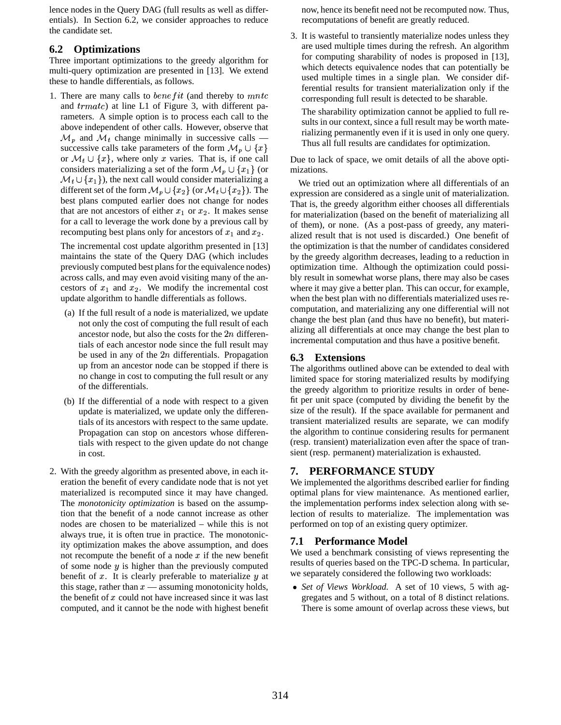lence nodes in the Query DAG (full results as well as differentials). In Section 6.2, we consider approaches to reduce the candidate set.

# **6.2 Optimizations**

Three important optimizations to the greedy algorithm for multi-query optimization are presented in [13]. We extend these to handle differentials, as follows.

1. There are many calls to  $benefit$  (and thereby to  $mntc$ and  $trmate$ ) at line L1 of Figure 3, with different pa-<br>remoters  $\Delta$  simple option is to process each call to the rameters. A simple option is to process each call to the above independent of other calls. However, observe that  $\mathcal{M}_p$  and  $\mathcal{M}_t$  change minimally in successive calls successive calls take parameters of the form  $\mathcal{M}_p \cup \{x\}$ or  $\mathcal{M}_t \cup \{x\}$ , where only x varies. That is, if one call considers materializing a set of the form  $\mathcal{M}_p \cup \{x_1\}$  (or  $\mathcal{M}_t \cup \{x_1\}$ , the next call would consider materializing a different set of the form  $\mathcal{M}_p \cup \{x_2\}$  (or  $\mathcal{M}_t \cup \{x_2\}$ ). The best plans computed earlier does not change for nodes that are not ancestors of either  $x_1$  or  $x_2$ . It makes sense for a call to leverage the work done by a previous call by recomputing best plans only for ancestors of  $x_1$  and  $x_2$ .

The incremental cost update algorithm presented in [13] maintains the state of the Query DAG (which includes previously computed best plans for the equivalence nodes) across calls, and may even avoid visiting many of the ancestors of  $x_1$  and  $x_2$ . We modify the incremental cost update algorithm to handle differentials as follows.

- (a) If the full result of a node is materialized, we update not only the cost of computing the full result of each ancestor node, but also the costs for the  $2n$  differentials of each ancestor node since the full result may be used in any of the  $2n$  differentials. Propagation up from an ancestor node can be stopped if there is no change in cost to computing the full result or any of the differentials.
- (b) If the differential of a node with respect to a given update is materialized, we update only the differentials of its ancestors with respect to the same update. Propagation can stop on ancestors whose differentials with respect to the given update do not change in cost.
- 2. With the greedy algorithm as presented above, in each iteration the benefit of every candidate node that is not yet materialized is recomputed since it may have changed. The *monotonicity optimization* is based on the assumption that the benefit of a node cannot increase as other nodes are chosen to be materialized – while this is not always true, it is often true in practice. The monotonicity optimization makes the above assumption, and does not recompute the benefit of a node  $x$  if the new benefit of some node  $y$  is higher than the previously computed benefit of  $x$ . It is clearly preferable to materialize  $y$  at this stage, rather than  $x$  — assuming monotonicity holds, the benefit of  $x$  could not have increased since it was last computed, and it cannot be the node with highest benefit

now, hence its benefit need not be recomputed now. Thus, recomputations of benefit are greatly reduced.

3. It is wasteful to transiently materialize nodes unless they are used multiple times during the refresh. An algorithm for computing sharability of nodes is proposed in [13], which detects equivalence nodes that can potentially be used multiple times in a single plan. We consider differential results for transient materialization only if the corresponding full result is detected to be sharable.

The sharability optimization cannot be applied to full results in our context, since a full result may be worth materializing permanently even if it is used in only one query. Thus all full results are candidates for optimization.

Due to lack of space, we omit details of all the above optimizations.

We tried out an optimization where all differentials of an expression are considered as a single unit of materialization. That is, the greedy algorithm either chooses all differentials for materialization (based on the benefit of materializing all of them), or none. (As a post-pass of greedy, any materialized result that is not used is discarded.) One benefit of the optimization is that the number of candidates considered by the greedy algorithm decreases, leading to a reduction in optimization time. Although the optimization could possibly result in somewhat worse plans, there may also be cases where it may give a better plan. This can occur, for example, when the best plan with no differentials materialized uses recomputation, and materializing any one differential will not change the best plan (and thus have no benefit), but materializing all differentials at once may change the best plan to incremental computation and thus have a positive benefit.

# **6.3 Extensions**

The algorithms outlined above can be extended to deal with limited space for storing materialized results by modifying the greedy algorithm to prioritize results in order of benefit per unit space (computed by dividing the benefit by the size of the result). If the space available for permanent and transient materialized results are separate, we can modify the algorithm to continue considering results for permanent (resp. transient) materialization even after the space of transient (resp. permanent) materialization is exhausted.

# **7. PERFORMANCE STUDY**

We implemented the algorithms described earlier for finding optimal plans for view maintenance. As mentioned earlier, the implementation performs index selection along with selection of results to materialize. The implementation was performed on top of an existing query optimizer.

# **7.1 Performance Model**

We used a benchmark consisting of views representing the results of queries based on the TPC-D schema. In particular, we separately considered the following two workloads:

• Set of Views Workload. A set of 10 views, 5 with aggregates and 5 without, on a total of 8 distinct relations. There is some amount of overlap across these views, but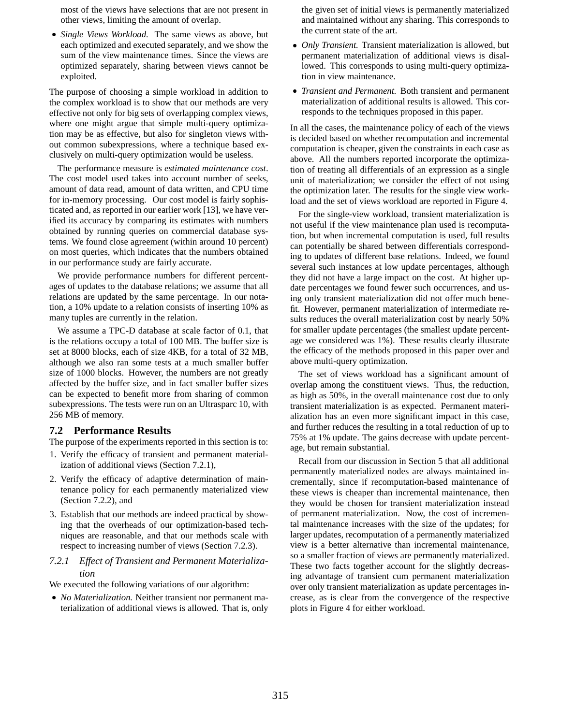most of the views have selections that are not present in other views, limiting the amount of overlap.

• Single Views Workload. The same views as above, but each optimized and executed separately, and we show the sum of the view maintenance times. Since the views are optimized separately, sharing between views cannot be exploited.

The purpose of choosing a simple workload in addition to the complex workload is to show that our methods are very effective not only for big sets of overlapping complex views, where one might argue that simple multi-query optimization may be as effective, but also for singleton views without common subexpressions, where a technique based exclusively on multi-query optimization would be useless.

The performance measure is *estimated maintenance cost*. The cost model used takes into account number of seeks, amount of data read, amount of data written, and CPU time for in-memory processing. Our cost model is fairly sophisticated and, as reported in our earlier work [13], we have verified its accuracy by comparing its estimates with numbers obtained by running queries on commercial database systems. We found close agreement (within around 10 percent) on most queries, which indicates that the numbers obtained in our performance study are fairly accurate.

We provide performance numbers for different percentages of updates to the database relations; we assume that all relations are updated by the same percentage. In our notation, a 10% update to a relation consists of inserting 10% as many tuples are currently in the relation.

We assume a TPC-D database at scale factor of 0.1, that is the relations occupy a total of 100 MB. The buffer size is set at 8000 blocks, each of size 4KB, for a total of 32 MB, although we also ran some tests at a much smaller buffer size of 1000 blocks. However, the numbers are not greatly affected by the buffer size, and in fact smaller buffer sizes can be expected to benefit more from sharing of common subexpressions. The tests were run on an Ultrasparc 10, with 256 MB of memory.

## **7.2 Performance Results**

The purpose of the experiments reported in this section is to:

- 1. Verify the efficacy of transient and permanent materialization of additional views (Section 7.2.1),
- 2. Verify the efficacy of adaptive determination of maintenance policy for each permanently materialized view (Section 7.2.2), and
- 3. Establish that our methods are indeed practical by showing that the overheads of our optimization-based techniques are reasonable, and that our methods scale with respect to increasing number of views (Section 7.2.3).

## *7.2.1 Effect of Transient and Permanent Materialization*

We executed the following variations of our algorithm:

• *No Materialization*. Neither transient nor permanent materialization of additional views is allowed. That is, only the given set of initial views is permanently materialized and maintained without any sharing. This corresponds to the current state of the art.

- Only Transient. Transient materialization is allowed, but permanent materialization of additional views is disallowed. This corresponds to using multi-query optimization in view maintenance.
- *Transient and Permanent*. Both transient and permanent materialization of additional results is allowed. This corresponds to the techniques proposed in this paper.

In all the cases, the maintenance policy of each of the views is decided based on whether recomputation and incremental computation is cheaper, given the constraints in each case as above. All the numbers reported incorporate the optimization of treating all differentials of an expression as a single unit of materialization; we consider the effect of not using the optimization later. The results for the single view workload and the set of views workload are reported in Figure 4.

For the single-view workload, transient materialization is not useful if the view maintenance plan used is recomputation, but when incremental computation is used, full results can potentially be shared between differentials corresponding to updates of different base relations. Indeed, we found several such instances at low update percentages, although they did not have a large impact on the cost. At higher update percentages we found fewer such occurrences, and using only transient materialization did not offer much benefit. However, permanent materialization of intermediate results reduces the overall materialization cost by nearly 50% for smaller update percentages (the smallest update percentage we considered was 1%). These results clearly illustrate the efficacy of the methods proposed in this paper over and above multi-query optimization.

The set of views workload has a significant amount of overlap among the constituent views. Thus, the reduction, as high as 50%, in the overall maintenance cost due to only transient materialization is as expected. Permanent materialization has an even more significant impact in this case, and further reduces the resulting in a total reduction of up to 75% at 1% update. The gains decrease with update percentage, but remain substantial.

Recall from our discussion in Section 5 that all additional permanently materialized nodes are always maintained incrementally, since if recomputation-based maintenance of these views is cheaper than incremental maintenance, then they would be chosen for transient materialization instead of permanent materialization. Now, the cost of incremental maintenance increases with the size of the updates; for larger updates, recomputation of a permanently materialized view is a better alternative than incremental maintenance, so a smaller fraction of views are permanently materialized. These two facts together account for the slightly decreasing advantage of transient cum permanent materialization over only transient materialization as update percentages increase, as is clear from the convergence of the respective plots in Figure 4 for either workload.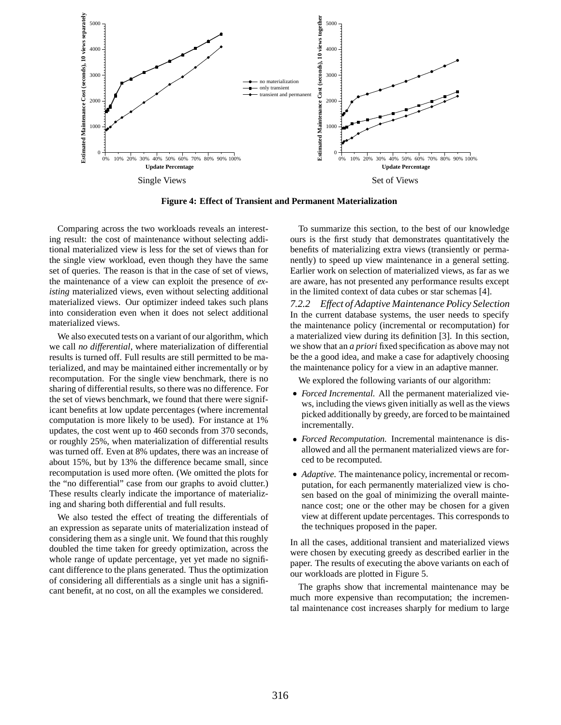

**Figure 4: Effect of Transient and Permanent Materialization**

Comparing across the two workloads reveals an interesting result: the cost of maintenance without selecting additional materialized view is less for the set of views than for the single view workload, even though they have the same set of queries. The reason is that in the case of set of views, the maintenance of a view can exploit the presence of *existing* materialized views, even without selecting additional materialized views. Our optimizer indeed takes such plans into consideration even when it does not select additional materialized views.

We also executed tests on a variant of our algorithm, which we call *no differential*, where materialization of differential results is turned off. Full results are still permitted to be materialized, and may be maintained either incrementally or by recomputation. For the single view benchmark, there is no sharing of differential results, so there was no difference. For the set of views benchmark, we found that there were significant benefits at low update percentages (where incremental computation is more likely to be used). For instance at 1% updates, the cost went up to 460 seconds from 370 seconds, or roughly 25%, when materialization of differential results was turned off. Even at 8% updates, there was an increase of about 15%, but by 13% the difference became small, since recomputation is used more often. (We omitted the plots for the "no differential" case from our graphs to avoid clutter.) These results clearly indicate the importance of materializing and sharing both differential and full results.

We also tested the effect of treating the differentials of an expression as separate units of materialization instead of considering them as a single unit. We found that this roughly doubled the time taken for greedy optimization, across the whole range of update percentage, yet yet made no significant difference to the plans generated. Thus the optimization of considering all differentials as a single unit has a significant benefit, at no cost, on all the examples we considered.

To summarize this section, to the best of our knowledge ours is the first study that demonstrates quantitatively the benefits of materializing extra views (transiently or permanently) to speed up view maintenance in a general setting. Earlier work on selection of materialized views, as far as we are aware, has not presented any performance results except in the limited context of data cubes or star schemas [4].

*7.2.2 Effect of Adaptive Maintenance Policy Selection* In the current database systems, the user needs to specify the maintenance policy (incremental or recomputation) for a materialized view during its definition [3]. In this section, we show that an *a priori* fixed specification as above may not be the a good idea, and make a case for adaptively choosing the maintenance policy for a view in an adaptive manner.

We explored the following variants of our algorithm:

- *Forced Incremental*. All the permanent materialized views, including the views given initially as well asthe views picked additionally by greedy, are forced to be maintained incrementally.
- *Forced Recomputation*. Incremental maintenance is disallowed and all the permanent materialized views are forced to be recomputed.
- Adaptive. The maintenance policy, incremental or recomputation, for each permanently materialized view is chosen based on the goal of minimizing the overall maintenance cost; one or the other may be chosen for a given view at different update percentages. This corresponds to the techniques proposed in the paper.

In all the cases, additional transient and materialized views were chosen by executing greedy as described earlier in the paper. The results of executing the above variants on each of our workloads are plotted in Figure 5.

The graphs show that incremental maintenance may be much more expensive than recomputation; the incremental maintenance cost increases sharply for medium to large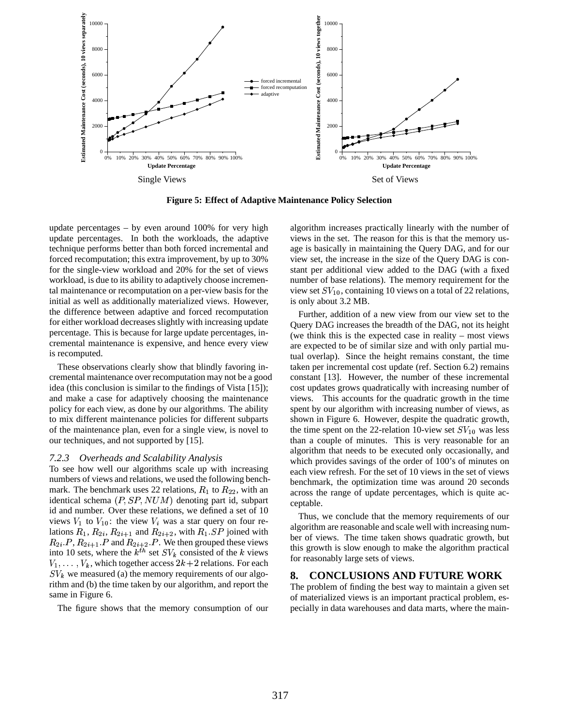

**Figure 5: Effect of Adaptive Maintenance Policy Selection**

update percentages – by even around 100% for very high update percentages. In both the workloads, the adaptive technique performs better than both forced incremental and forced recomputation; this extra improvement, by up to 30% for the single-view workload and 20% for the set of views workload, is due to its ability to adaptively choose incremental maintenance or recomputation on a per-view basis for the initial as well as additionally materialized views. However, the difference between adaptive and forced recomputation for either workload decreases slightly with increasing update percentage. This is because for large update percentages, incremental maintenance is expensive, and hence every view is recomputed.

These observations clearly show that blindly favoring incremental maintenance over recomputation may not be a good idea (this conclusion is similar to the findings of Vista [15]); and make a case for adaptively choosing the maintenance policy for each view, as done by our algorithms. The ability to mix different maintenance policies for different subparts of the maintenance plan, even for a single view, is novel to our techniques, and not supported by [15].

#### *7.2.3 Overheads and Scalability Analysis*

To see how well our algorithms scale up with increasing numbers of views and relations, we used the following benchmark. The benchmark uses 22 relations,  $R_1$  to  $R_{22}$ , with an identical schema  $(P, SP, NUM)$  denoting part id, subpart id and number. Over these relations, we defined a set of 10 views  $V_1$  to  $V_{10}$ : the view  $V_i$  was a star query on four relations  $R_1$ ,  $R_{2i}$ ,  $R_{2i+1}$  and  $R_{2i+2}$ , with  $R_1$  SP joined with  $R_{2i}$ ,  $P$ ,  $R_{2i+1}$ ,  $P$  and  $R_{2i+2}$ ,  $P$ . We then grouped these views into 10 sets, where the  $k^{th}$  set  $SV_k$  consisted of the k views  $V_1, \ldots, V_k$ , which together access  $2k+2$  relations. For each  $SV_k$  we measured (a) the memory requirements of our algorithm and (b) the time taken by our algorithm, and report the same in Figure 6.

The figure shows that the memory consumption of our

algorithm increases practically linearly with the number of views in the set. The reason for this is that the memory usage is basically in maintaining the Query DAG, and for our view set, the increase in the size of the Query DAG is constant per additional view added to the DAG (with a fixed number of base relations). The memory requirement for the view set  $SV_{10}$ , containing 10 views on a total of 22 relations, is only about 3.2 MB.

Further, addition of a new view from our view set to the Query DAG increases the breadth of the DAG, not its height (we think this is the expected case in reality – most views are expected to be of similar size and with only partial mutual overlap). Since the height remains constant, the time taken per incremental cost update (ref. Section 6.2) remains constant [13]. However, the number of these incremental cost updates grows quadratically with increasing number of views. This accounts for the quadratic growth in the time spent by our algorithm with increasing number of views, as shown in Figure 6. However, despite the quadratic growth, the time spent on the 22-relation 10-view set  $SV_{10}$  was less than a couple of minutes. This is very reasonable for an algorithm that needs to be executed only occasionally, and which provides savings of the order of 100's of minutes on each view refresh. For the set of 10 views in the set of views benchmark, the optimization time was around 20 seconds across the range of update percentages, which is quite acceptable.

Thus, we conclude that the memory requirements of our algorithm are reasonable and scale well with increasing number of views. The time taken shows quadratic growth, but this growth is slow enough to make the algorithm practical for reasonably large sets of views.

## **8. CONCLUSIONS AND FUTURE WORK**

The problem of finding the best way to maintain a given set of materialized views is an important practical problem, especially in data warehouses and data marts, where the main-